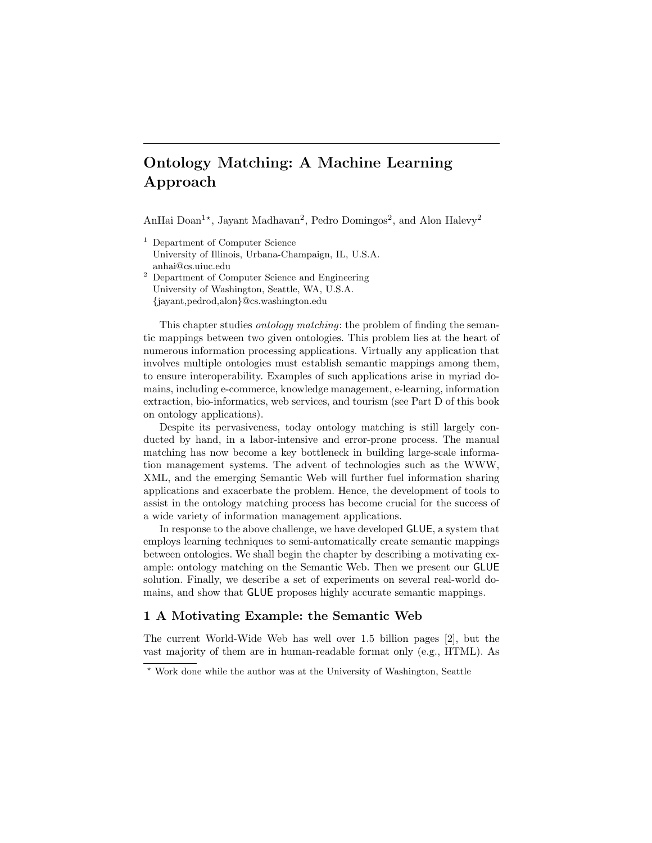# Ontology Matching: A Machine Learning Approach

AnHai Doan<sup>1</sup><sup>\*</sup>, Jayant Madhavan<sup>2</sup>, Pedro Domingos<sup>2</sup>, and Alon Halevy<sup>2</sup>

- <sup>1</sup> Department of Computer Science University of Illinois, Urbana-Champaign, IL, U.S.A. anhai@cs.uiuc.edu
- <sup>2</sup> Department of Computer Science and Engineering University of Washington, Seattle, WA, U.S.A. {jayant,pedrod,alon}@cs.washington.edu

This chapter studies *ontology matching*: the problem of finding the semantic mappings between two given ontologies. This problem lies at the heart of numerous information processing applications. Virtually any application that involves multiple ontologies must establish semantic mappings among them, to ensure interoperability. Examples of such applications arise in myriad domains, including e-commerce, knowledge management, e-learning, information extraction, bio-informatics, web services, and tourism (see Part D of this book on ontology applications).

Despite its pervasiveness, today ontology matching is still largely conducted by hand, in a labor-intensive and error-prone process. The manual matching has now become a key bottleneck in building large-scale information management systems. The advent of technologies such as the WWW, XML, and the emerging Semantic Web will further fuel information sharing applications and exacerbate the problem. Hence, the development of tools to assist in the ontology matching process has become crucial for the success of a wide variety of information management applications.

In response to the above challenge, we have developed GLUE, a system that employs learning techniques to semi-automatically create semantic mappings between ontologies. We shall begin the chapter by describing a motivating example: ontology matching on the Semantic Web. Then we present our GLUE solution. Finally, we describe a set of experiments on several real-world domains, and show that GLUE proposes highly accurate semantic mappings.

## 1 A Motivating Example: the Semantic Web

The current World-Wide Web has well over 1.5 billion pages [2], but the vast majority of them are in human-readable format only (e.g., HTML). As

<sup>?</sup> Work done while the author was at the University of Washington, Seattle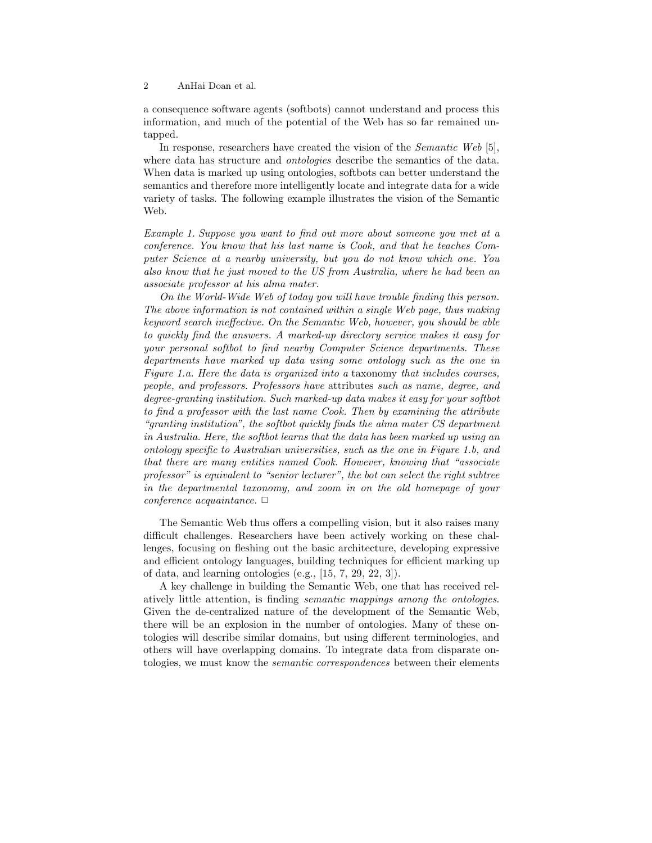a consequence software agents (softbots) cannot understand and process this information, and much of the potential of the Web has so far remained untapped.

In response, researchers have created the vision of the *Semantic Web* [5], where data has structure and *ontologies* describe the semantics of the data. When data is marked up using ontologies, softbots can better understand the semantics and therefore more intelligently locate and integrate data for a wide variety of tasks. The following example illustrates the vision of the Semantic Web.

Example 1. Suppose you want to find out more about someone you met at a conference. You know that his last name is Cook, and that he teaches Computer Science at a nearby university, but you do not know which one. You also know that he just moved to the US from Australia, where he had been an associate professor at his alma mater.

On the World-Wide Web of today you will have trouble finding this person. The above information is not contained within a single Web page, thus making keyword search ineffective. On the Semantic Web, however, you should be able to quickly find the answers. A marked-up directory service makes it easy for your personal softbot to find nearby Computer Science departments. These departments have marked up data using some ontology such as the one in Figure 1.a. Here the data is organized into a taxonomy that includes courses, people, and professors. Professors have attributes such as name, degree, and degree-granting institution. Such marked-up data makes it easy for your softbot to find a professor with the last name Cook. Then by examining the attribute "granting institution", the softbot quickly finds the alma mater CS department in Australia. Here, the softbot learns that the data has been marked up using an ontology specific to Australian universities, such as the one in Figure 1.b, and that there are many entities named Cook. However, knowing that "associate professor" is equivalent to "senior lecturer", the bot can select the right subtree in the departmental taxonomy, and zoom in on the old homepage of your  $conference\,\,a equation tance.\,\,\Box$ 

The Semantic Web thus offers a compelling vision, but it also raises many difficult challenges. Researchers have been actively working on these challenges, focusing on fleshing out the basic architecture, developing expressive and efficient ontology languages, building techniques for efficient marking up of data, and learning ontologies (e.g., [15, 7, 29, 22, 3]).

A key challenge in building the Semantic Web, one that has received relatively little attention, is finding semantic mappings among the ontologies. Given the de-centralized nature of the development of the Semantic Web, there will be an explosion in the number of ontologies. Many of these ontologies will describe similar domains, but using different terminologies, and others will have overlapping domains. To integrate data from disparate ontologies, we must know the semantic correspondences between their elements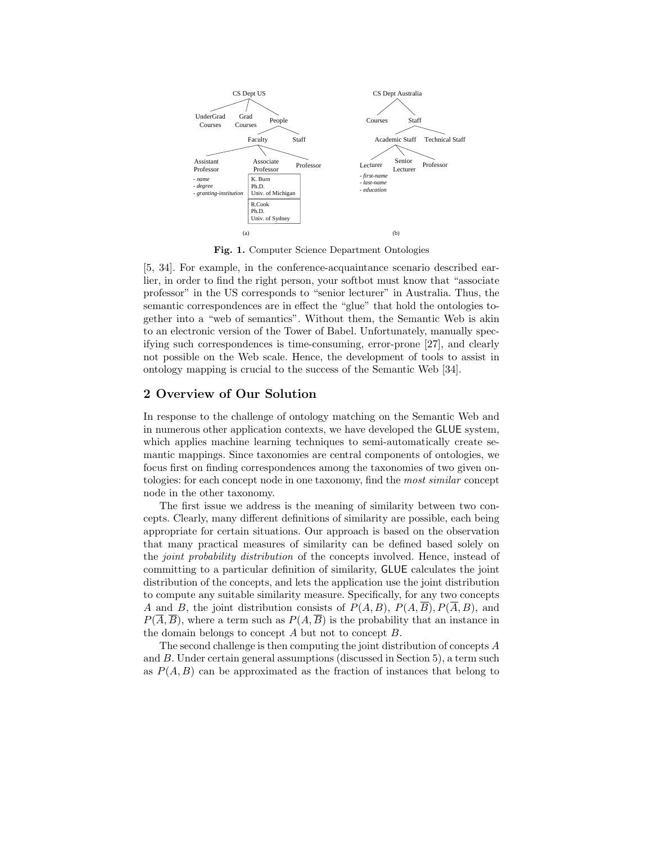

Fig. 1. Computer Science Department Ontologies

[5, 34]. For example, in the conference-acquaintance scenario described earlier, in order to find the right person, your softbot must know that "associate professor" in the US corresponds to "senior lecturer" in Australia. Thus, the semantic correspondences are in effect the "glue" that hold the ontologies together into a "web of semantics". Without them, the Semantic Web is akin to an electronic version of the Tower of Babel. Unfortunately, manually specifying such correspondences is time-consuming, error-prone [27], and clearly not possible on the Web scale. Hence, the development of tools to assist in ontology mapping is crucial to the success of the Semantic Web [34].

## 2 Overview of Our Solution

In response to the challenge of ontology matching on the Semantic Web and in numerous other application contexts, we have developed the GLUE system, which applies machine learning techniques to semi-automatically create semantic mappings. Since taxonomies are central components of ontologies, we focus first on finding correspondences among the taxonomies of two given ontologies: for each concept node in one taxonomy, find the most similar concept node in the other taxonomy.

The first issue we address is the meaning of similarity between two concepts. Clearly, many different definitions of similarity are possible, each being appropriate for certain situations. Our approach is based on the observation that many practical measures of similarity can be defined based solely on the joint probability distribution of the concepts involved. Hence, instead of committing to a particular definition of similarity, GLUE calculates the joint distribution of the concepts, and lets the application use the joint distribution to compute any suitable similarity measure. Specifically, for any two concepts A and B, the joint distribution consists of  $P(A, B)$ ,  $P(A, \overline{B})$ ,  $P(\overline{A}, B)$ , and  $P(\overline{A}, \overline{B})$ , where a term such as  $P(A, \overline{B})$  is the probability that an instance in the domain belongs to concept A but not to concept B.

The second challenge is then computing the joint distribution of concepts A and B. Under certain general assumptions (discussed in Section 5), a term such as  $P(A, B)$  can be approximated as the fraction of instances that belong to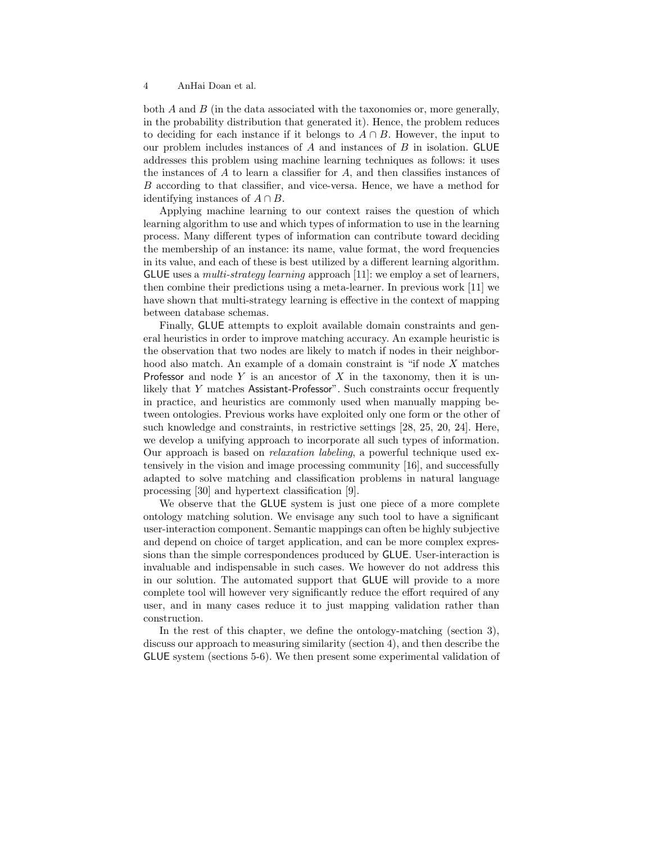both  $A$  and  $B$  (in the data associated with the taxonomies or, more generally, in the probability distribution that generated it). Hence, the problem reduces to deciding for each instance if it belongs to  $A \cap B$ . However, the input to our problem includes instances of  $A$  and instances of  $B$  in isolation. GLUE addresses this problem using machine learning techniques as follows: it uses the instances of  $A$  to learn a classifier for  $A$ , and then classifies instances of B according to that classifier, and vice-versa. Hence, we have a method for identifying instances of  $A \cap B$ .

Applying machine learning to our context raises the question of which learning algorithm to use and which types of information to use in the learning process. Many different types of information can contribute toward deciding the membership of an instance: its name, value format, the word frequencies in its value, and each of these is best utilized by a different learning algorithm. GLUE uses a multi-strategy learning approach [11]: we employ a set of learners, then combine their predictions using a meta-learner. In previous work [11] we have shown that multi-strategy learning is effective in the context of mapping between database schemas.

Finally, GLUE attempts to exploit available domain constraints and general heuristics in order to improve matching accuracy. An example heuristic is the observation that two nodes are likely to match if nodes in their neighborhood also match. An example of a domain constraint is "if node X matches Professor and node Y is an ancestor of X in the taxonomy, then it is unlikely that Y matches Assistant-Professor". Such constraints occur frequently in practice, and heuristics are commonly used when manually mapping between ontologies. Previous works have exploited only one form or the other of such knowledge and constraints, in restrictive settings [28, 25, 20, 24]. Here, we develop a unifying approach to incorporate all such types of information. Our approach is based on relaxation labeling, a powerful technique used extensively in the vision and image processing community [16], and successfully adapted to solve matching and classification problems in natural language processing [30] and hypertext classification [9].

We observe that the GLUE system is just one piece of a more complete ontology matching solution. We envisage any such tool to have a significant user-interaction component. Semantic mappings can often be highly subjective and depend on choice of target application, and can be more complex expressions than the simple correspondences produced by GLUE. User-interaction is invaluable and indispensable in such cases. We however do not address this in our solution. The automated support that GLUE will provide to a more complete tool will however very significantly reduce the effort required of any user, and in many cases reduce it to just mapping validation rather than construction.

In the rest of this chapter, we define the ontology-matching (section 3), discuss our approach to measuring similarity (section 4), and then describe the GLUE system (sections 5-6). We then present some experimental validation of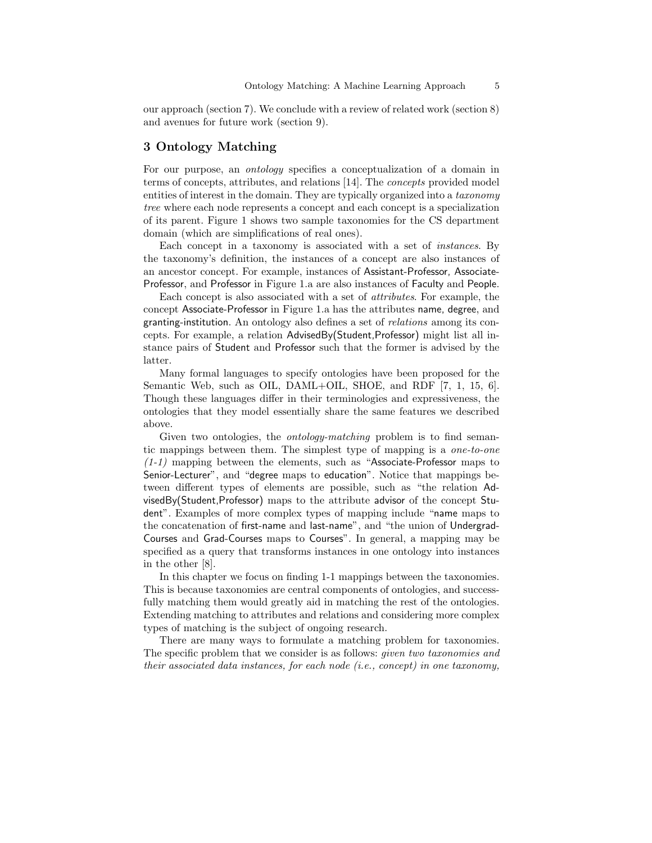our approach (section 7). We conclude with a review of related work (section 8) and avenues for future work (section 9).

# 3 Ontology Matching

For our purpose, an ontology specifies a conceptualization of a domain in terms of concepts, attributes, and relations [14]. The concepts provided model entities of interest in the domain. They are typically organized into a taxonomy tree where each node represents a concept and each concept is a specialization of its parent. Figure 1 shows two sample taxonomies for the CS department domain (which are simplifications of real ones).

Each concept in a taxonomy is associated with a set of instances. By the taxonomy's definition, the instances of a concept are also instances of an ancestor concept. For example, instances of Assistant-Professor, Associate-Professor, and Professor in Figure 1.a are also instances of Faculty and People.

Each concept is also associated with a set of attributes. For example, the concept Associate-Professor in Figure 1.a has the attributes name, degree, and granting-institution. An ontology also defines a set of relations among its concepts. For example, a relation AdvisedBy(Student,Professor) might list all instance pairs of Student and Professor such that the former is advised by the latter.

Many formal languages to specify ontologies have been proposed for the Semantic Web, such as OIL, DAML+OIL, SHOE, and RDF [7, 1, 15, 6]. Though these languages differ in their terminologies and expressiveness, the ontologies that they model essentially share the same features we described above.

Given two ontologies, the *ontology-matching* problem is to find semantic mappings between them. The simplest type of mapping is a one-to-one  $(1-1)$  mapping between the elements, such as "Associate-Professor maps to Senior-Lecturer", and "degree maps to education". Notice that mappings between different types of elements are possible, such as "the relation AdvisedBy(Student,Professor) maps to the attribute advisor of the concept Student". Examples of more complex types of mapping include "name maps to the concatenation of first-name and last-name", and "the union of Undergrad-Courses and Grad-Courses maps to Courses". In general, a mapping may be specified as a query that transforms instances in one ontology into instances in the other [8].

In this chapter we focus on finding 1-1 mappings between the taxonomies. This is because taxonomies are central components of ontologies, and successfully matching them would greatly aid in matching the rest of the ontologies. Extending matching to attributes and relations and considering more complex types of matching is the subject of ongoing research.

There are many ways to formulate a matching problem for taxonomies. The specific problem that we consider is as follows: *given two taxonomies and* their associated data instances, for each node (i.e., concept) in one taxonomy,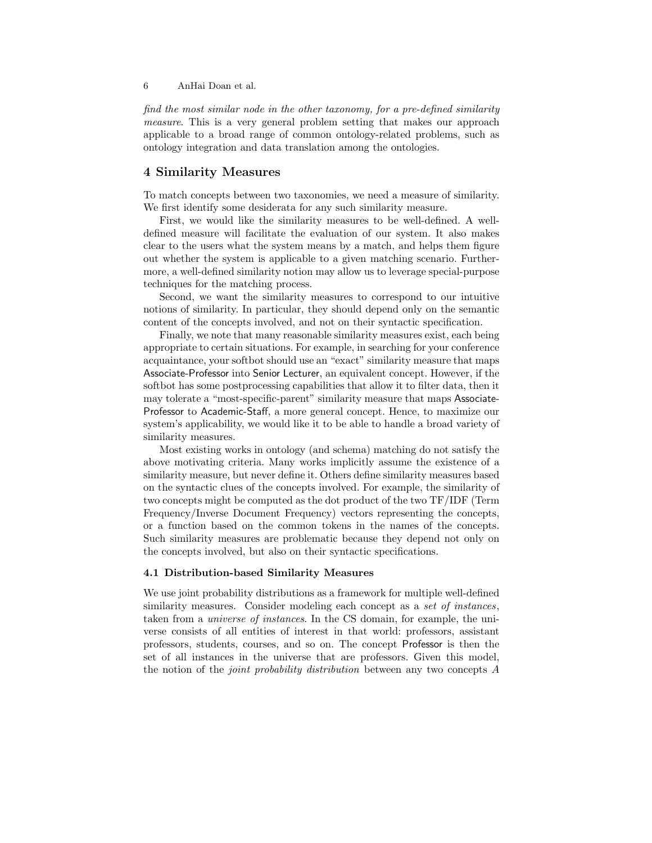find the most similar node in the other taxonomy, for a pre-defined similarity measure. This is a very general problem setting that makes our approach applicable to a broad range of common ontology-related problems, such as ontology integration and data translation among the ontologies.

## 4 Similarity Measures

To match concepts between two taxonomies, we need a measure of similarity. We first identify some desiderata for any such similarity measure.

First, we would like the similarity measures to be well-defined. A welldefined measure will facilitate the evaluation of our system. It also makes clear to the users what the system means by a match, and helps them figure out whether the system is applicable to a given matching scenario. Furthermore, a well-defined similarity notion may allow us to leverage special-purpose techniques for the matching process.

Second, we want the similarity measures to correspond to our intuitive notions of similarity. In particular, they should depend only on the semantic content of the concepts involved, and not on their syntactic specification.

Finally, we note that many reasonable similarity measures exist, each being appropriate to certain situations. For example, in searching for your conference acquaintance, your softbot should use an "exact" similarity measure that maps Associate-Professor into Senior Lecturer, an equivalent concept. However, if the softbot has some postprocessing capabilities that allow it to filter data, then it may tolerate a "most-specific-parent" similarity measure that maps Associate-Professor to Academic-Staff, a more general concept. Hence, to maximize our system's applicability, we would like it to be able to handle a broad variety of similarity measures.

Most existing works in ontology (and schema) matching do not satisfy the above motivating criteria. Many works implicitly assume the existence of a similarity measure, but never define it. Others define similarity measures based on the syntactic clues of the concepts involved. For example, the similarity of two concepts might be computed as the dot product of the two TF/IDF (Term Frequency/Inverse Document Frequency) vectors representing the concepts, or a function based on the common tokens in the names of the concepts. Such similarity measures are problematic because they depend not only on the concepts involved, but also on their syntactic specifications.

#### 4.1 Distribution-based Similarity Measures

We use joint probability distributions as a framework for multiple well-defined similarity measures. Consider modeling each concept as a set of instances, taken from a universe of instances. In the CS domain, for example, the universe consists of all entities of interest in that world: professors, assistant professors, students, courses, and so on. The concept Professor is then the set of all instances in the universe that are professors. Given this model, the notion of the joint probability distribution between any two concepts A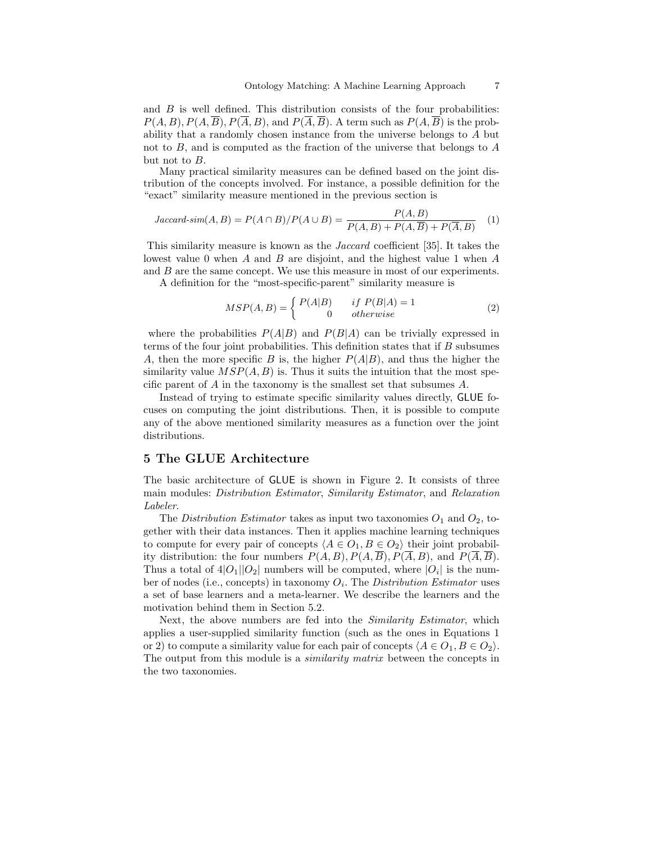and B is well defined. This distribution consists of the four probabilities:  $P(A, B), P(A, \overline{B}), P(\overline{A}, B),$  and  $P(\overline{A}, \overline{B})$ . A term such as  $P(A, \overline{B})$  is the probability that a randomly chosen instance from the universe belongs to  $A$  but not to  $B$ , and is computed as the fraction of the universe that belongs to  $A$ but not to B.

Many practical similarity measures can be defined based on the joint distribution of the concepts involved. For instance, a possible definition for the "exact" similarity measure mentioned in the previous section is

$$
Jaccard\text{-}sim(A, B) = P(A \cap B)/P(A \cup B) = \frac{P(A, B)}{P(A, B) + P(A, \overline{B}) + P(\overline{A}, B)} \tag{1}
$$

This similarity measure is known as the Jaccard coefficient [35]. It takes the lowest value 0 when A and B are disjoint, and the highest value 1 when A and B are the same concept. We use this measure in most of our experiments.

A definition for the "most-specific-parent" similarity measure is

$$
MSP(A,B) = \begin{cases} P(A|B) & \text{if } P(B|A) = 1\\ 0 & \text{otherwise} \end{cases}
$$
 (2)

where the probabilities  $P(A|B)$  and  $P(B|A)$  can be trivially expressed in terms of the four joint probabilities. This definition states that if  $B$  subsumes A, then the more specific B is, the higher  $P(A|B)$ , and thus the higher the similarity value  $MSP(A, B)$  is. Thus it suits the intuition that the most specific parent of A in the taxonomy is the smallest set that subsumes A.

Instead of trying to estimate specific similarity values directly, GLUE focuses on computing the joint distributions. Then, it is possible to compute any of the above mentioned similarity measures as a function over the joint distributions.

## 5 The GLUE Architecture

The basic architecture of GLUE is shown in Figure 2. It consists of three main modules: Distribution Estimator, Similarity Estimator, and Relaxation Labeler.

The Distribution Estimator takes as input two taxonomies  $O_1$  and  $O_2$ , together with their data instances. Then it applies machine learning techniques to compute for every pair of concepts  $\langle A \in O_1, B \in O_2 \rangle$  their joint probability distribution: the four numbers  $P(A, B), P(A, \overline{B}), P(\overline{A}, B)$ , and  $P(\overline{A}, \overline{B})$ . Thus a total of  $4|O_1||O_2|$  numbers will be computed, where  $|O_i|$  is the number of nodes (i.e., concepts) in taxonomy  $O_i$ . The *Distribution Estimator* uses a set of base learners and a meta-learner. We describe the learners and the motivation behind them in Section 5.2.

Next, the above numbers are fed into the Similarity Estimator, which applies a user-supplied similarity function (such as the ones in Equations 1 or 2) to compute a similarity value for each pair of concepts  $\langle A \in O_1, B \in O_2 \rangle$ . The output from this module is a *similarity matrix* between the concepts in the two taxonomies.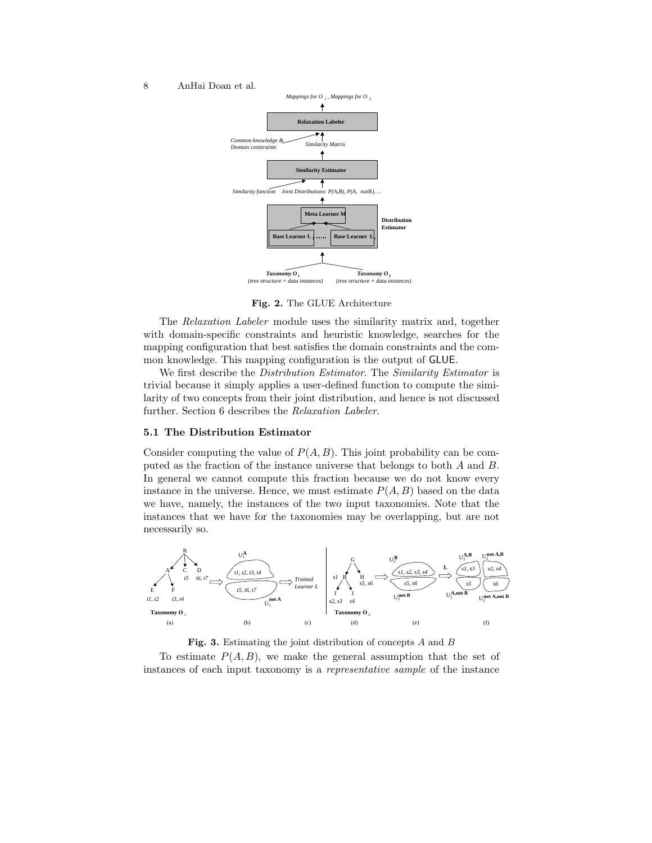

Fig. 2. The GLUE Architecture

The Relaxation Labeler module uses the similarity matrix and, together with domain-specific constraints and heuristic knowledge, searches for the mapping configuration that best satisfies the domain constraints and the common knowledge. This mapping configuration is the output of GLUE.

We first describe the Distribution Estimator. The Similarity Estimator is trivial because it simply applies a user-defined function to compute the similarity of two concepts from their joint distribution, and hence is not discussed further. Section 6 describes the Relaxation Labeler.

#### 5.1 The Distribution Estimator

Consider computing the value of  $P(A, B)$ . This joint probability can be computed as the fraction of the instance universe that belongs to both A and B. In general we cannot compute this fraction because we do not know every instance in the universe. Hence, we must estimate  $P(A, B)$  based on the data we have, namely, the instances of the two input taxonomies. Note that the instances that we have for the taxonomies may be overlapping, but are not necessarily so.



Fig. 3. Estimating the joint distribution of concepts A and B

To estimate  $P(A, B)$ , we make the general assumption that the set of instances of each input taxonomy is a representative sample of the instance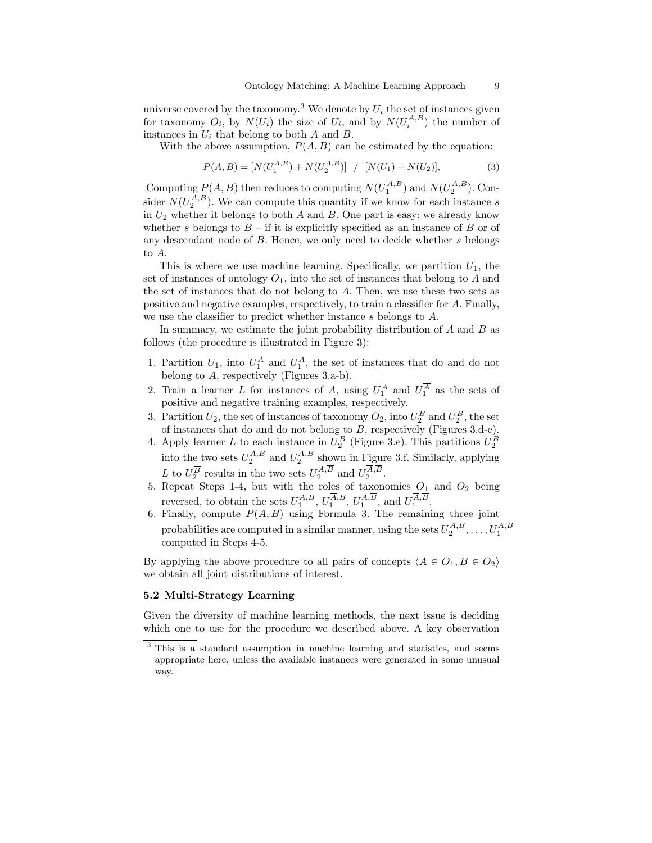universe covered by the taxonomy.<sup>3</sup> We denote by  $U_i$  the set of instances given for taxonomy  $O_i$ , by  $N(U_i)$  the size of  $U_i$ , and by  $N(U_i^{A,B})$  the number of instances in  $U_i$  that belong to both  $A$  and  $B$ .

With the above assumption,  $P(A, B)$  can be estimated by the equation:

$$
P(A,B) = [N(U_1^{A,B}) + N(U_2^{A,B})] / [N(U_1) + N(U_2)],
$$
\n(3)

Computing  $P(A, B)$  then reduces to computing  $N(U_1^{A,B})$  and  $N(U_2^{A,B})$ . Consider  $N(U_2^{A,B})$ . We can compute this quantity if we know for each instance s in  $U_2$  whether it belongs to both A and B. One part is easy: we already know whether s belongs to  $B$  – if it is explicitly specified as an instance of  $B$  or of any descendant node of B. Hence, we only need to decide whether s belongs to A.

This is where we use machine learning. Specifically, we partition  $U_1$ , the set of instances of ontology  $O_1$ , into the set of instances that belong to A and the set of instances that do not belong to A. Then, we use these two sets as positive and negative examples, respectively, to train a classifier for A. Finally, we use the classifier to predict whether instance s belongs to A.

In summary, we estimate the joint probability distribution of A and B as follows (the procedure is illustrated in Figure 3):

- 1. Partition  $U_1$ , into  $U_1^A$  and  $U_1^A$ , the set of instances that do and do not belong to A, respectively (Figures 3.a-b).
- 2. Train a learner L for instances of A, using  $U_1^A$  and  $U_1^A$  as the sets of positive and negative training examples, respectively.
- 3. Partition  $U_2$ , the set of instances of taxonomy  $O_2$ , into  $U_2^B$  and  $U_2^B$ , the set of instances that do and do not belong to  $B$ , respectively (Figures 3.d-e).
- 4. Apply learner L to each instance in  $U_2^B$  (Figure 3.e). This partitions  $U_2^B$ into the two sets  $U_2^{A,B}$  and  $U_2^{A,B}$  shown in Figure 3.f. Similarly, applying L to  $U_2^{\overline{B}}$  results in the two sets  $U_2^{A,B}$  and  $U_2^{A,B}$ .
- 5. Repeat Steps 1-4, but with the roles of taxonomies  $O_1$  and  $O_2$  being reversed, to obtain the sets  $U_1^{A,B}, U_1^{A,B}, U_1^{A,B}$ , and  $U_1^{A,B}$ .
- 6. Finally, compute  $P(A, B)$  using Formula 3. The remaining three joint probabilities are computed in a similar manner, using the sets  $U_2^{A,B},\ldots,U_1^{A,B}$ computed in Steps 4-5.

By applying the above procedure to all pairs of concepts  $\langle A \in O_1, B \in O_2 \rangle$ we obtain all joint distributions of interest.

### 5.2 Multi-Strategy Learning

Given the diversity of machine learning methods, the next issue is deciding which one to use for the procedure we described above. A key observation

<sup>&</sup>lt;sup>3</sup> This is a standard assumption in machine learning and statistics, and seems appropriate here, unless the available instances were generated in some unusual way.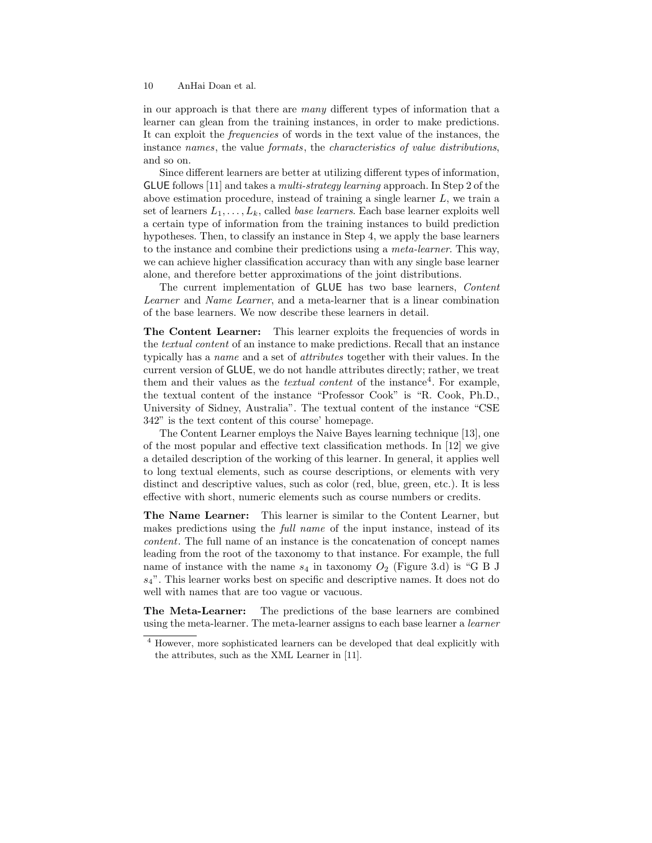in our approach is that there are many different types of information that a learner can glean from the training instances, in order to make predictions. It can exploit the frequencies of words in the text value of the instances, the instance names, the value formats, the characteristics of value distributions, and so on.

Since different learners are better at utilizing different types of information, GLUE follows [11] and takes a multi-strategy learning approach. In Step 2 of the above estimation procedure, instead of training a single learner L, we train a set of learners  $L_1, \ldots, L_k$ , called *base learners*. Each base learner exploits well a certain type of information from the training instances to build prediction hypotheses. Then, to classify an instance in Step 4, we apply the base learners to the instance and combine their predictions using a meta-learner. This way, we can achieve higher classification accuracy than with any single base learner alone, and therefore better approximations of the joint distributions.

The current implementation of GLUE has two base learners, Content Learner and Name Learner, and a meta-learner that is a linear combination of the base learners. We now describe these learners in detail.

The Content Learner: This learner exploits the frequencies of words in the textual content of an instance to make predictions. Recall that an instance typically has a name and a set of attributes together with their values. In the current version of GLUE, we do not handle attributes directly; rather, we treat them and their values as the *textual content* of the instance<sup>4</sup>. For example, the textual content of the instance "Professor Cook" is "R. Cook, Ph.D., University of Sidney, Australia". The textual content of the instance "CSE 342" is the text content of this course' homepage.

The Content Learner employs the Naive Bayes learning technique [13], one of the most popular and effective text classification methods. In [12] we give a detailed description of the working of this learner. In general, it applies well to long textual elements, such as course descriptions, or elements with very distinct and descriptive values, such as color (red, blue, green, etc.). It is less effective with short, numeric elements such as course numbers or credits.

The Name Learner: This learner is similar to the Content Learner, but makes predictions using the *full name* of the input instance, instead of its content. The full name of an instance is the concatenation of concept names leading from the root of the taxonomy to that instance. For example, the full name of instance with the name  $s_4$  in taxonomy  $O_2$  (Figure 3.d) is "G B J s4". This learner works best on specific and descriptive names. It does not do well with names that are too vague or vacuous.

The Meta-Learner: The predictions of the base learners are combined using the meta-learner. The meta-learner assigns to each base learner a learner

<sup>4</sup> However, more sophisticated learners can be developed that deal explicitly with the attributes, such as the XML Learner in [11].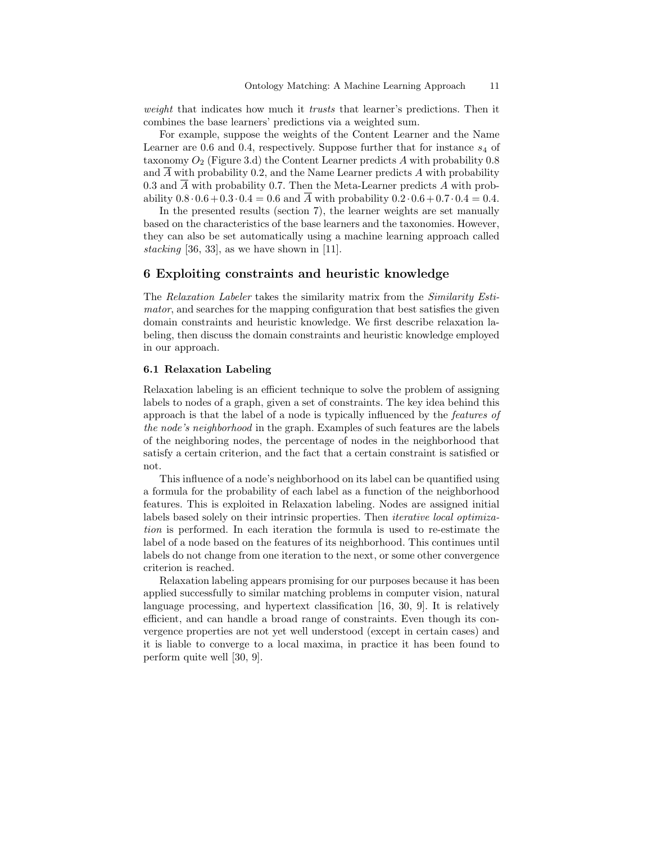weight that indicates how much it *trusts* that learner's predictions. Then it combines the base learners' predictions via a weighted sum.

For example, suppose the weights of the Content Learner and the Name Learner are 0.6 and 0.4, respectively. Suppose further that for instance  $s_4$  of taxonomy  $O_2$  (Figure 3.d) the Content Learner predicts A with probability 0.8 and A with probability 0.2, and the Name Learner predicts A with probability 0.3 and  $\overline{A}$  with probability 0.7. Then the Meta-Learner predicts A with probability  $0.8 \cdot 0.6 + 0.3 \cdot 0.4 = 0.6$  and  $\overline{A}$  with probability  $0.2 \cdot 0.6 + 0.7 \cdot 0.4 = 0.4$ .

In the presented results (section 7), the learner weights are set manually based on the characteristics of the base learners and the taxonomies. However, they can also be set automatically using a machine learning approach called stacking [36, 33], as we have shown in [11].

## 6 Exploiting constraints and heuristic knowledge

The Relaxation Labeler takes the similarity matrix from the Similarity Estimator, and searches for the mapping configuration that best satisfies the given domain constraints and heuristic knowledge. We first describe relaxation labeling, then discuss the domain constraints and heuristic knowledge employed in our approach.

#### 6.1 Relaxation Labeling

Relaxation labeling is an efficient technique to solve the problem of assigning labels to nodes of a graph, given a set of constraints. The key idea behind this approach is that the label of a node is typically influenced by the features of the node's neighborhood in the graph. Examples of such features are the labels of the neighboring nodes, the percentage of nodes in the neighborhood that satisfy a certain criterion, and the fact that a certain constraint is satisfied or not.

This influence of a node's neighborhood on its label can be quantified using a formula for the probability of each label as a function of the neighborhood features. This is exploited in Relaxation labeling. Nodes are assigned initial labels based solely on their intrinsic properties. Then iterative local optimization is performed. In each iteration the formula is used to re-estimate the label of a node based on the features of its neighborhood. This continues until labels do not change from one iteration to the next, or some other convergence criterion is reached.

Relaxation labeling appears promising for our purposes because it has been applied successfully to similar matching problems in computer vision, natural language processing, and hypertext classification [16, 30, 9]. It is relatively efficient, and can handle a broad range of constraints. Even though its convergence properties are not yet well understood (except in certain cases) and it is liable to converge to a local maxima, in practice it has been found to perform quite well [30, 9].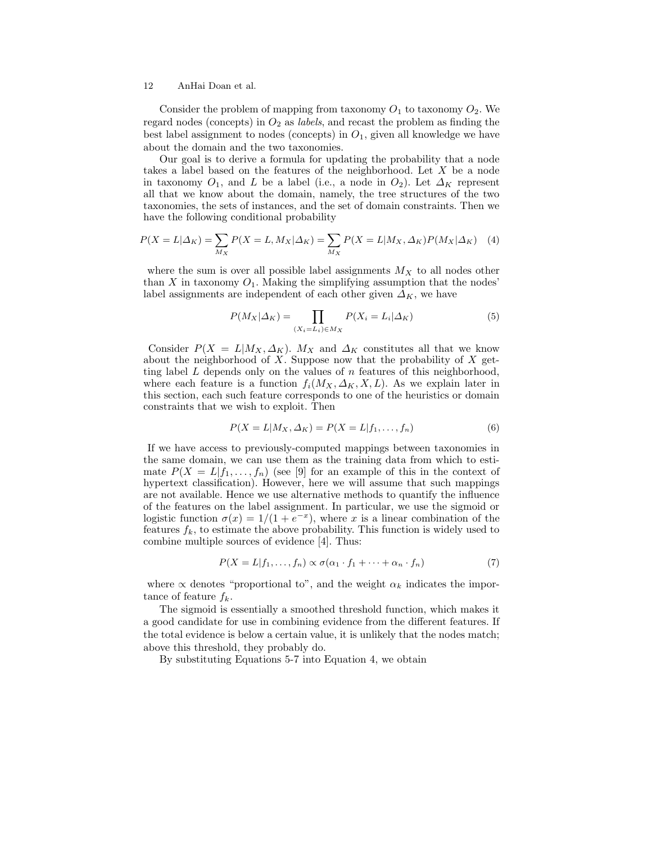Consider the problem of mapping from taxonomy  $O_1$  to taxonomy  $O_2$ . We regard nodes (concepts) in  $O_2$  as *labels*, and recast the problem as finding the best label assignment to nodes (concepts) in  $O_1$ , given all knowledge we have about the domain and the two taxonomies.

Our goal is to derive a formula for updating the probability that a node takes a label based on the features of the neighborhood. Let X be a node in taxonomy  $O_1$ , and L be a label (i.e., a node in  $O_2$ ). Let  $\Delta_K$  represent all that we know about the domain, namely, the tree structures of the two taxonomies, the sets of instances, and the set of domain constraints. Then we have the following conditional probability

$$
P(X = L|\Delta_K) = \sum_{M_X} P(X = L, M_X|\Delta_K) = \sum_{M_X} P(X = L|M_X, \Delta_K) P(M_X|\Delta_K) \quad (4)
$$

where the sum is over all possible label assignments  $M_X$  to all nodes other than X in taxonomy  $O_1$ . Making the simplifying assumption that the nodes' label assignments are independent of each other given  $\Delta_K$ , we have

$$
P(M_X|\Delta_K) = \prod_{(X_i=L_i)\in M_X} P(X_i=L_i|\Delta_K)
$$
\n<sup>(5)</sup>

Consider  $P(X = L|M_X, \Delta_K)$ . M<sub>X</sub> and  $\Delta_K$  constitutes all that we know about the neighborhood of  $X$ . Suppose now that the probability of  $X$  getting label  $L$  depends only on the values of  $n$  features of this neighborhood, where each feature is a function  $f_i(M_X, \Delta_K, X, L)$ . As we explain later in this section, each such feature corresponds to one of the heuristics or domain constraints that we wish to exploit. Then

$$
P(X = L|M_X, \Delta_K) = P(X = L|f_1, \dots, f_n)
$$
\n(6)

If we have access to previously-computed mappings between taxonomies in the same domain, we can use them as the training data from which to estimate  $P(X = L | f_1, \ldots, f_n)$  (see [9] for an example of this in the context of hypertext classification). However, here we will assume that such mappings are not available. Hence we use alternative methods to quantify the influence of the features on the label assignment. In particular, we use the sigmoid or logistic function  $\sigma(x) = 1/(1+e^{-x})$ , where x is a linear combination of the features  $f_k$ , to estimate the above probability. This function is widely used to combine multiple sources of evidence [4]. Thus:

$$
P(X = L|f_1, \dots, f_n) \propto \sigma(\alpha_1 \cdot f_1 + \dots + \alpha_n \cdot f_n)
$$
\n<sup>(7)</sup>

where  $\alpha$  denotes "proportional to", and the weight  $\alpha_k$  indicates the importance of feature  $f_k$ .

The sigmoid is essentially a smoothed threshold function, which makes it a good candidate for use in combining evidence from the different features. If the total evidence is below a certain value, it is unlikely that the nodes match; above this threshold, they probably do.

By substituting Equations 5-7 into Equation 4, we obtain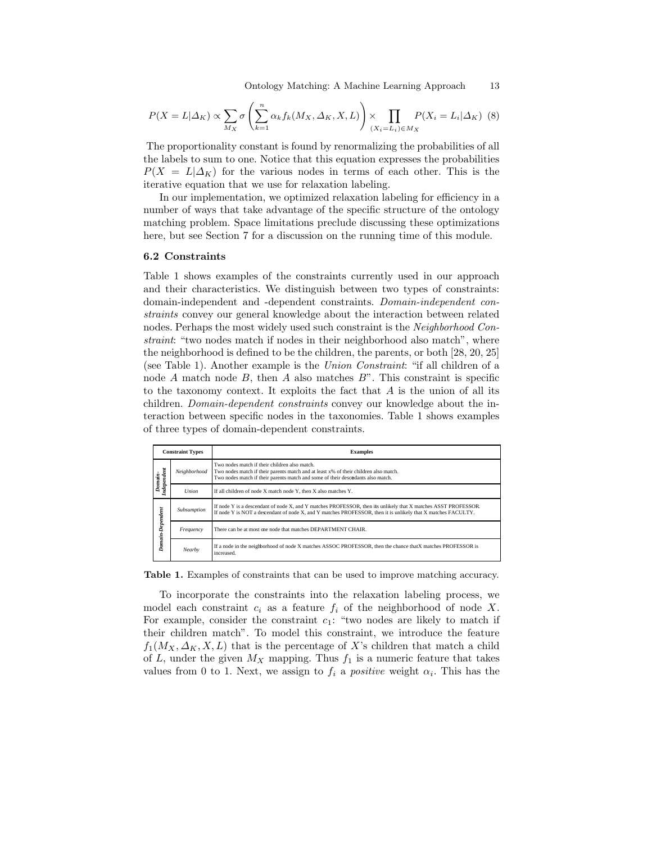Ontology Matching: A Machine Learning Approach 13

$$
P(X = L|\Delta_K) \propto \sum_{M_X} \sigma \left( \sum_{k=1}^n \alpha_k f_k(M_X, \Delta_K, X, L) \right) \times \prod_{(X_i = L_i) \in M_X} P(X_i = L_i|\Delta_K) \tag{8}
$$

The proportionality constant is found by renormalizing the probabilities of all the labels to sum to one. Notice that this equation expresses the probabilities  $P(X = L|\Delta_K)$  for the various nodes in terms of each other. This is the iterative equation that we use for relaxation labeling.

In our implementation, we optimized relaxation labeling for efficiency in a number of ways that take advantage of the specific structure of the ontology matching problem. Space limitations preclude discussing these optimizations here, but see Section 7 for a discussion on the running time of this module.

#### 6.2 Constraints

Table 1 shows examples of the constraints currently used in our approach and their characteristics. We distinguish between two types of constraints: domain-independent and -dependent constraints. Domain-independent constraints convey our general knowledge about the interaction between related nodes. Perhaps the most widely used such constraint is the Neighborhood Constraint: "two nodes match if nodes in their neighborhood also match", where the neighborhood is defined to be the children, the parents, or both [28, 20, 25] (see Table 1). Another example is the Union Constraint: "if all children of a node A match node B, then A also matches  $B$ ". This constraint is specific to the taxonomy context. It exploits the fact that  $A$  is the union of all its children. Domain-dependent constraints convey our knowledge about the interaction between specific nodes in the taxonomies. Table 1 shows examples of three types of domain-dependent constraints.

| <b>Constraint Types</b> |              | <b>Examples</b>                                                                                                                                                                                                                 |  |  |  |  |
|-------------------------|--------------|---------------------------------------------------------------------------------------------------------------------------------------------------------------------------------------------------------------------------------|--|--|--|--|
| Independent<br>Domain-  | Neighborhood | Two nodes match if their children also match.<br>Two nodes match if their parents match and at least x% of their children also match.<br>Two nodes match if their parents match and some of their descadants also match.        |  |  |  |  |
|                         | Union        | If all children of node X match node Y, then X also matches Y.                                                                                                                                                                  |  |  |  |  |
| Domain-Dependent        | Subsumption  | If node Y is a descendant of node X, and Y matches PROFESSOR, then its unlikely that X matches ASST PROFESSOR.<br>If node Y is NOT a descendant of node X, and Y matches PROFESSOR, then it is unlikely that X matches FACULTY. |  |  |  |  |
|                         | Frequency    | There can be at most one node that matches DEPARTMENT CHAIR.                                                                                                                                                                    |  |  |  |  |
|                         | Nearby       | If a node in the neighborhood of node X matches ASSOC PROFESSOR, then the chance that X matches PROFESSOR is<br>increased.                                                                                                      |  |  |  |  |

Table 1. Examples of constraints that can be used to improve matching accuracy.

To incorporate the constraints into the relaxation labeling process, we model each constraint  $c_i$  as a feature  $f_i$  of the neighborhood of node X. For example, consider the constraint  $c_1$ : "two nodes are likely to match if their children match". To model this constraint, we introduce the feature  $f_1(M_X, \Delta_K, X, L)$  that is the percentage of X's children that match a child of L, under the given  $M_X$  mapping. Thus  $f_1$  is a numeric feature that takes values from 0 to 1. Next, we assign to  $f_i$  a *positive* weight  $\alpha_i$ . This has the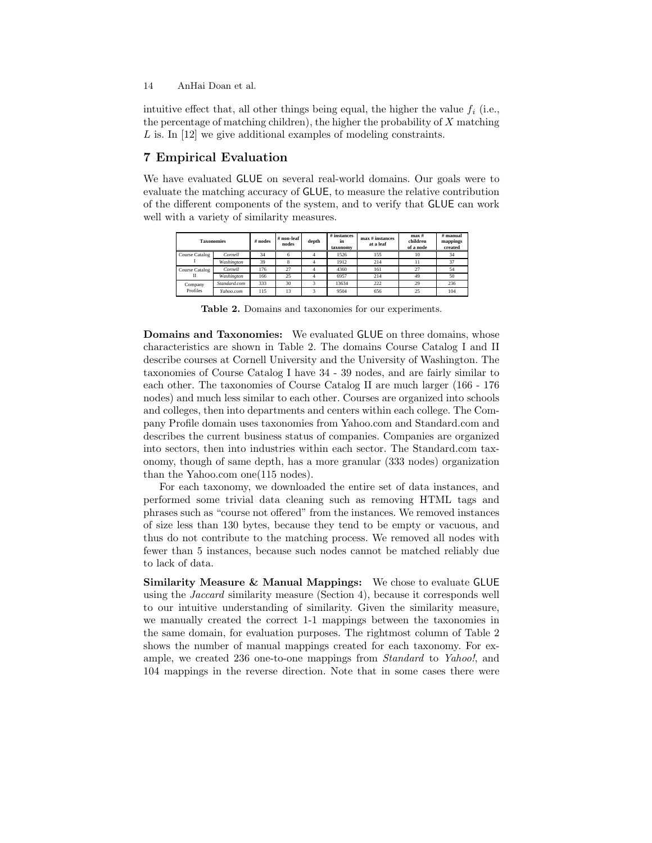intuitive effect that, all other things being equal, the higher the value  $f_i$  (i.e., the percentage of matching children), the higher the probability of  $X$  matching L is. In [12] we give additional examples of modeling constraints.

# 7 Empirical Evaluation

We have evaluated GLUE on several real-world domains. Our goals were to evaluate the matching accuracy of GLUE, to measure the relative contribution of the different components of the system, and to verify that GLUE can work well with a variety of similarity measures.

| <b>Taxonomies</b>     |              | $#$ nodes | # non-leaf<br>nodes | depth | $#$ instances<br>in<br>taxonomy | max # instances<br>at a leaf | max#<br>children<br>of a node | # manual<br>mappings<br>created |
|-----------------------|--------------|-----------|---------------------|-------|---------------------------------|------------------------------|-------------------------------|---------------------------------|
| <b>Course Catalog</b> | Cornell      | 34        | 6                   |       | 1526                            | 155                          | 10                            | 34                              |
|                       | Washington   | 39        | 8                   | 4     | 1912                            | 214                          | 11                            | 37                              |
| Course Catalog        | Cornell      | 176       | 27                  | 4     | 4360                            | 161                          | 27                            | 54                              |
|                       | Washington   | 166       | 25                  |       | 6957                            | 214                          | 49                            | 50                              |
| Company               | Standard.com | 333       | 30                  |       | 13634                           | 222                          | 29                            | 236                             |
| Profiles              | Yahoo.com    | 115       | 13                  |       | 9504                            | 656                          | 25                            | 104                             |

Table 2. Domains and taxonomies for our experiments.

Domains and Taxonomies: We evaluated GLUE on three domains, whose characteristics are shown in Table 2. The domains Course Catalog I and II describe courses at Cornell University and the University of Washington. The taxonomies of Course Catalog I have 34 - 39 nodes, and are fairly similar to each other. The taxonomies of Course Catalog II are much larger (166 - 176 nodes) and much less similar to each other. Courses are organized into schools and colleges, then into departments and centers within each college. The Company Profile domain uses taxonomies from Yahoo.com and Standard.com and describes the current business status of companies. Companies are organized into sectors, then into industries within each sector. The Standard.com taxonomy, though of same depth, has a more granular (333 nodes) organization than the Yahoo.com one(115 nodes).

For each taxonomy, we downloaded the entire set of data instances, and performed some trivial data cleaning such as removing HTML tags and phrases such as "course not offered" from the instances. We removed instances of size less than 130 bytes, because they tend to be empty or vacuous, and thus do not contribute to the matching process. We removed all nodes with fewer than 5 instances, because such nodes cannot be matched reliably due to lack of data.

Similarity Measure & Manual Mappings: We chose to evaluate GLUE using the Jaccard similarity measure (Section 4), because it corresponds well to our intuitive understanding of similarity. Given the similarity measure, we manually created the correct 1-1 mappings between the taxonomies in the same domain, for evaluation purposes. The rightmost column of Table 2 shows the number of manual mappings created for each taxonomy. For example, we created 236 one-to-one mappings from Standard to Yahoo!, and 104 mappings in the reverse direction. Note that in some cases there were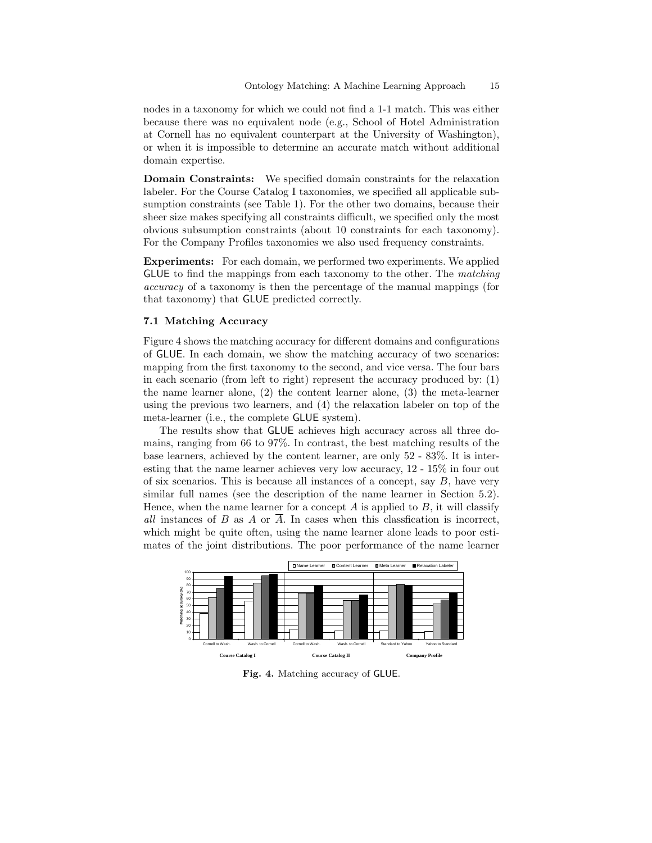nodes in a taxonomy for which we could not find a 1-1 match. This was either because there was no equivalent node (e.g., School of Hotel Administration at Cornell has no equivalent counterpart at the University of Washington), or when it is impossible to determine an accurate match without additional domain expertise.

Domain Constraints: We specified domain constraints for the relaxation labeler. For the Course Catalog I taxonomies, we specified all applicable subsumption constraints (see Table 1). For the other two domains, because their sheer size makes specifying all constraints difficult, we specified only the most obvious subsumption constraints (about 10 constraints for each taxonomy). For the Company Profiles taxonomies we also used frequency constraints.

Experiments: For each domain, we performed two experiments. We applied GLUE to find the mappings from each taxonomy to the other. The matching accuracy of a taxonomy is then the percentage of the manual mappings (for that taxonomy) that GLUE predicted correctly.

## 7.1 Matching Accuracy

Figure 4 shows the matching accuracy for different domains and configurations of GLUE. In each domain, we show the matching accuracy of two scenarios: mapping from the first taxonomy to the second, and vice versa. The four bars in each scenario (from left to right) represent the accuracy produced by: (1) the name learner alone, (2) the content learner alone, (3) the meta-learner using the previous two learners, and (4) the relaxation labeler on top of the meta-learner (i.e., the complete GLUE system).

The results show that GLUE achieves high accuracy across all three domains, ranging from 66 to 97%. In contrast, the best matching results of the base learners, achieved by the content learner, are only 52 - 83%. It is interesting that the name learner achieves very low accuracy, 12 - 15% in four out of six scenarios. This is because all instances of a concept, say  $B$ , have very similar full names (see the description of the name learner in Section 5.2). Hence, when the name learner for a concept  $A$  is applied to  $B$ , it will classify all instances of B as A or  $\overline{A}$ . In cases when this classfication is incorrect, which might be quite often, using the name learner alone leads to poor estimates of the joint distributions. The poor performance of the name learner



Fig. 4. Matching accuracy of GLUE.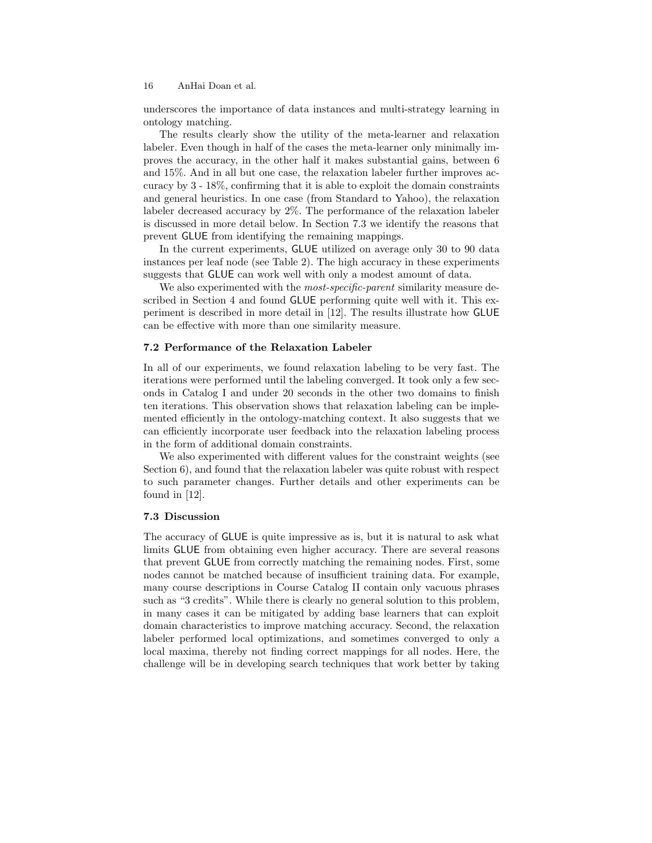underscores the importance of data instances and multi-strategy learning in ontology matching.

The results clearly show the utility of the meta-learner and relaxation labeler. Even though in half of the cases the meta-learner only minimally improves the accuracy, in the other half it makes substantial gains, between 6 and 15%. And in all but one case, the relaxation labeler further improves accuracy by 3 - 18%, confirming that it is able to exploit the domain constraints and general heuristics. In one case (from Standard to Yahoo), the relaxation labeler decreased accuracy by 2%. The performance of the relaxation labeler is discussed in more detail below. In Section 7.3 we identify the reasons that prevent GLUE from identifying the remaining mappings.

In the current experiments, GLUE utilized on average only 30 to 90 data instances per leaf node (see Table 2). The high accuracy in these experiments suggests that GLUE can work well with only a modest amount of data.

We also experimented with the *most-specific-parent* similarity measure described in Section 4 and found GLUE performing quite well with it. This experiment is described in more detail in [12]. The results illustrate how GLUE can be effective with more than one similarity measure.

#### 7.2 Performance of the Relaxation Labeler

In all of our experiments, we found relaxation labeling to be very fast. The iterations were performed until the labeling converged. It took only a few seconds in Catalog I and under 20 seconds in the other two domains to finish ten iterations. This observation shows that relaxation labeling can be implemented efficiently in the ontology-matching context. It also suggests that we can efficiently incorporate user feedback into the relaxation labeling process in the form of additional domain constraints.

We also experimented with different values for the constraint weights (see Section 6), and found that the relaxation labeler was quite robust with respect to such parameter changes. Further details and other experiments can be found in [12].

#### 7.3 Discussion

The accuracy of GLUE is quite impressive as is, but it is natural to ask what limits GLUE from obtaining even higher accuracy. There are several reasons that prevent GLUE from correctly matching the remaining nodes. First, some nodes cannot be matched because of insufficient training data. For example, many course descriptions in Course Catalog II contain only vacuous phrases such as "3 credits". While there is clearly no general solution to this problem, in many cases it can be mitigated by adding base learners that can exploit domain characteristics to improve matching accuracy. Second, the relaxation labeler performed local optimizations, and sometimes converged to only a local maxima, thereby not finding correct mappings for all nodes. Here, the challenge will be in developing search techniques that work better by taking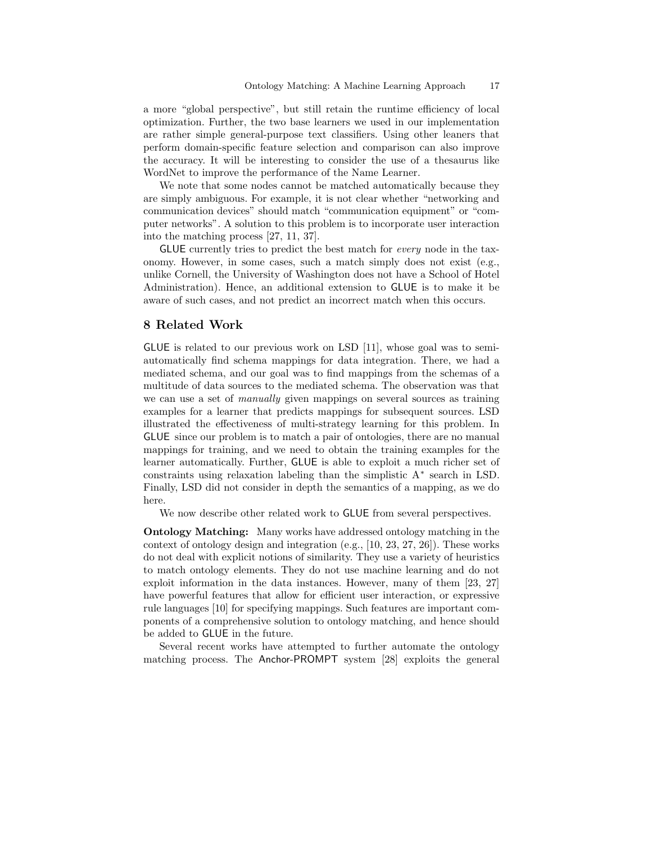a more "global perspective", but still retain the runtime efficiency of local optimization. Further, the two base learners we used in our implementation are rather simple general-purpose text classifiers. Using other leaners that perform domain-specific feature selection and comparison can also improve the accuracy. It will be interesting to consider the use of a thesaurus like WordNet to improve the performance of the Name Learner.

We note that some nodes cannot be matched automatically because they are simply ambiguous. For example, it is not clear whether "networking and communication devices" should match "communication equipment" or "computer networks". A solution to this problem is to incorporate user interaction into the matching process [27, 11, 37].

GLUE currently tries to predict the best match for every node in the taxonomy. However, in some cases, such a match simply does not exist (e.g., unlike Cornell, the University of Washington does not have a School of Hotel Administration). Hence, an additional extension to GLUE is to make it be aware of such cases, and not predict an incorrect match when this occurs.

## 8 Related Work

GLUE is related to our previous work on LSD [11], whose goal was to semiautomatically find schema mappings for data integration. There, we had a mediated schema, and our goal was to find mappings from the schemas of a multitude of data sources to the mediated schema. The observation was that we can use a set of manually given mappings on several sources as training examples for a learner that predicts mappings for subsequent sources. LSD illustrated the effectiveness of multi-strategy learning for this problem. In GLUE since our problem is to match a pair of ontologies, there are no manual mappings for training, and we need to obtain the training examples for the learner automatically. Further, GLUE is able to exploit a much richer set of constraints using relaxation labeling than the simplistic A<sup>∗</sup> search in LSD. Finally, LSD did not consider in depth the semantics of a mapping, as we do here.

We now describe other related work to GLUE from several perspectives.

Ontology Matching: Many works have addressed ontology matching in the context of ontology design and integration (e.g., [10, 23, 27, 26]). These works do not deal with explicit notions of similarity. They use a variety of heuristics to match ontology elements. They do not use machine learning and do not exploit information in the data instances. However, many of them [23, 27] have powerful features that allow for efficient user interaction, or expressive rule languages [10] for specifying mappings. Such features are important components of a comprehensive solution to ontology matching, and hence should be added to GLUE in the future.

Several recent works have attempted to further automate the ontology matching process. The Anchor-PROMPT system [28] exploits the general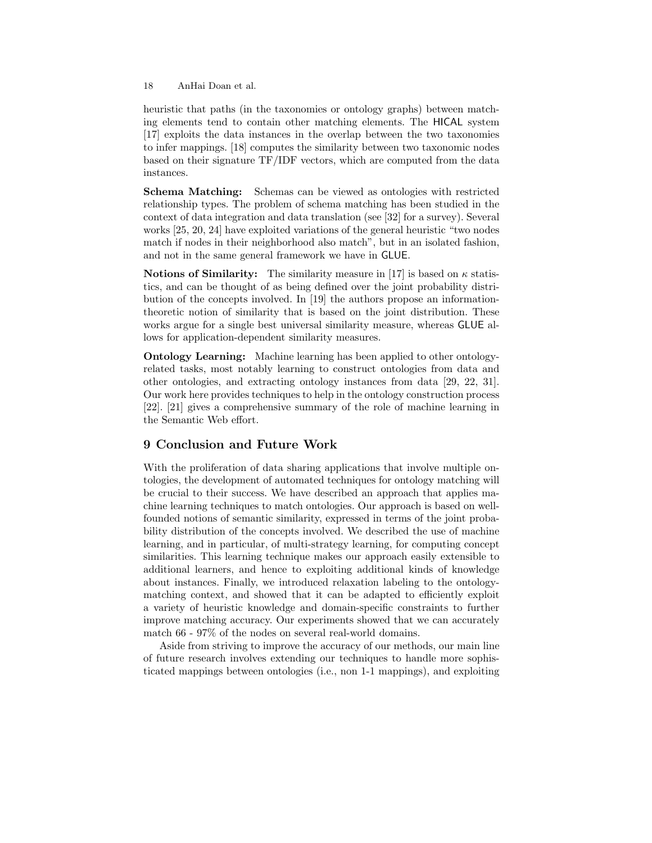heuristic that paths (in the taxonomies or ontology graphs) between matching elements tend to contain other matching elements. The HICAL system [17] exploits the data instances in the overlap between the two taxonomies to infer mappings. [18] computes the similarity between two taxonomic nodes based on their signature TF/IDF vectors, which are computed from the data instances.

Schema Matching: Schemas can be viewed as ontologies with restricted relationship types. The problem of schema matching has been studied in the context of data integration and data translation (see [32] for a survey). Several works [25, 20, 24] have exploited variations of the general heuristic "two nodes match if nodes in their neighborhood also match", but in an isolated fashion, and not in the same general framework we have in GLUE.

Notions of Similarity: The similarity measure in [17] is based on  $\kappa$  statistics, and can be thought of as being defined over the joint probability distribution of the concepts involved. In [19] the authors propose an informationtheoretic notion of similarity that is based on the joint distribution. These works argue for a single best universal similarity measure, whereas GLUE allows for application-dependent similarity measures.

Ontology Learning: Machine learning has been applied to other ontologyrelated tasks, most notably learning to construct ontologies from data and other ontologies, and extracting ontology instances from data [29, 22, 31]. Our work here provides techniques to help in the ontology construction process [22]. [21] gives a comprehensive summary of the role of machine learning in the Semantic Web effort.

# 9 Conclusion and Future Work

With the proliferation of data sharing applications that involve multiple ontologies, the development of automated techniques for ontology matching will be crucial to their success. We have described an approach that applies machine learning techniques to match ontologies. Our approach is based on wellfounded notions of semantic similarity, expressed in terms of the joint probability distribution of the concepts involved. We described the use of machine learning, and in particular, of multi-strategy learning, for computing concept similarities. This learning technique makes our approach easily extensible to additional learners, and hence to exploiting additional kinds of knowledge about instances. Finally, we introduced relaxation labeling to the ontologymatching context, and showed that it can be adapted to efficiently exploit a variety of heuristic knowledge and domain-specific constraints to further improve matching accuracy. Our experiments showed that we can accurately match 66 - 97% of the nodes on several real-world domains.

Aside from striving to improve the accuracy of our methods, our main line of future research involves extending our techniques to handle more sophisticated mappings between ontologies (i.e., non 1-1 mappings), and exploiting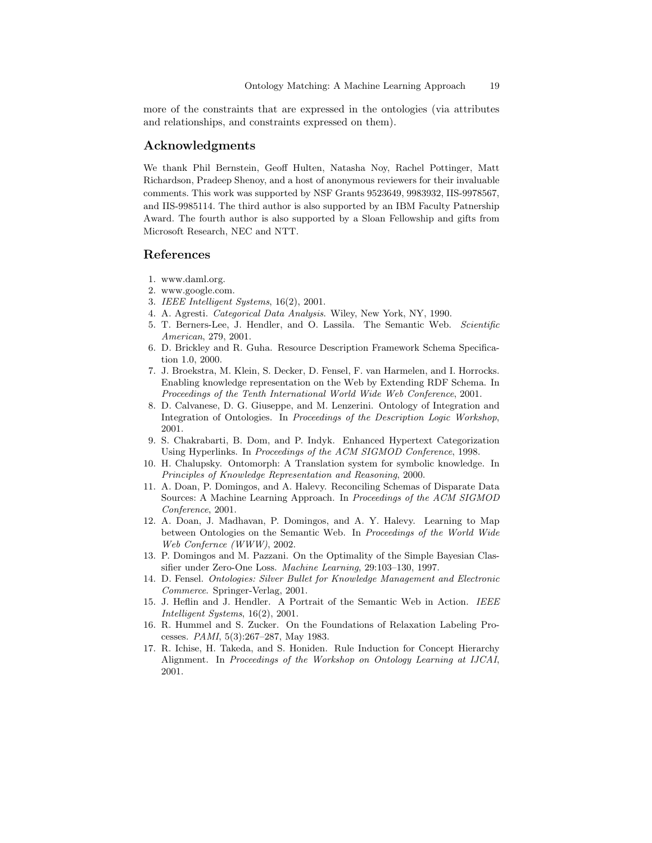more of the constraints that are expressed in the ontologies (via attributes and relationships, and constraints expressed on them).

## Acknowledgments

We thank Phil Bernstein, Geoff Hulten, Natasha Noy, Rachel Pottinger, Matt Richardson, Pradeep Shenoy, and a host of anonymous reviewers for their invaluable comments. This work was supported by NSF Grants 9523649, 9983932, IIS-9978567, and IIS-9985114. The third author is also supported by an IBM Faculty Patnership Award. The fourth author is also supported by a Sloan Fellowship and gifts from Microsoft Research, NEC and NTT.

#### References

- 1. www.daml.org.
- 2. www.google.com.
- 3. IEEE Intelligent Systems, 16(2), 2001.
- 4. A. Agresti. Categorical Data Analysis. Wiley, New York, NY, 1990.
- 5. T. Berners-Lee, J. Hendler, and O. Lassila. The Semantic Web. Scientific American, 279, 2001.
- 6. D. Brickley and R. Guha. Resource Description Framework Schema Specification 1.0, 2000.
- 7. J. Broekstra, M. Klein, S. Decker, D. Fensel, F. van Harmelen, and I. Horrocks. Enabling knowledge representation on the Web by Extending RDF Schema. In Proceedings of the Tenth International World Wide Web Conference, 2001.
- 8. D. Calvanese, D. G. Giuseppe, and M. Lenzerini. Ontology of Integration and Integration of Ontologies. In Proceedings of the Description Logic Workshop, 2001.
- 9. S. Chakrabarti, B. Dom, and P. Indyk. Enhanced Hypertext Categorization Using Hyperlinks. In Proceedings of the ACM SIGMOD Conference, 1998.
- 10. H. Chalupsky. Ontomorph: A Translation system for symbolic knowledge. In Principles of Knowledge Representation and Reasoning, 2000.
- 11. A. Doan, P. Domingos, and A. Halevy. Reconciling Schemas of Disparate Data Sources: A Machine Learning Approach. In Proceedings of the ACM SIGMOD Conference, 2001.
- 12. A. Doan, J. Madhavan, P. Domingos, and A. Y. Halevy. Learning to Map between Ontologies on the Semantic Web. In Proceedings of the World Wide Web Confernce (WWW), 2002.
- 13. P. Domingos and M. Pazzani. On the Optimality of the Simple Bayesian Classifier under Zero-One Loss. Machine Learning, 29:103–130, 1997.
- 14. D. Fensel. Ontologies: Silver Bullet for Knowledge Management and Electronic Commerce. Springer-Verlag, 2001.
- 15. J. Heflin and J. Hendler. A Portrait of the Semantic Web in Action. IEEE Intelligent Systems, 16(2), 2001.
- 16. R. Hummel and S. Zucker. On the Foundations of Relaxation Labeling Processes. PAMI, 5(3):267–287, May 1983.
- 17. R. Ichise, H. Takeda, and S. Honiden. Rule Induction for Concept Hierarchy Alignment. In Proceedings of the Workshop on Ontology Learning at IJCAI, 2001.